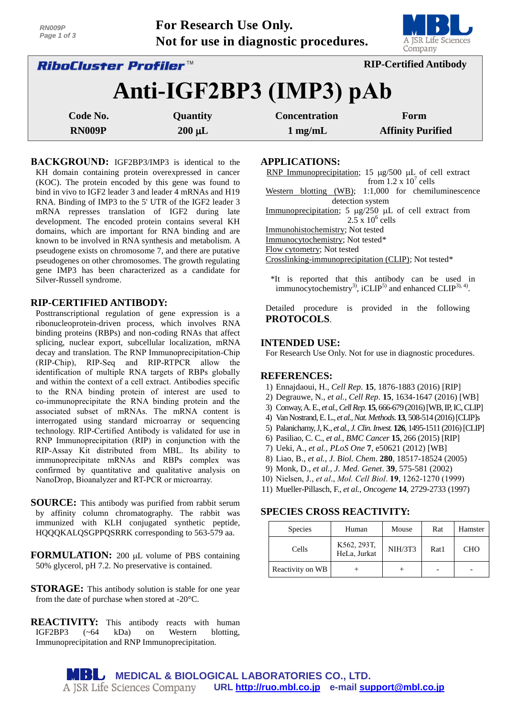| RN009P<br>Page 1 of 3                                                | For Research Use Only. | Not for use in diagnostic procedures. | A JSR Life Sciences<br>Company |  |  |
|----------------------------------------------------------------------|------------------------|---------------------------------------|--------------------------------|--|--|
| <b>RIP-Certified Antibody</b><br><i><b>RiboCluster Profiler™</b></i> |                        |                                       |                                |  |  |
| Anti-IGF2BP3 (IMP3) pAb                                              |                        |                                       |                                |  |  |
| Code No.                                                             | Quantity               | <b>Concentration</b>                  | Form                           |  |  |

**RN009P** 200 *uL* **1 mg/mL** Affinity Purified

**BACKGROUND:** IGF2BP3/IMP3 is identical to the KH domain containing protein overexpressed in cancer (KOC). The protein encoded by this gene was found to bind in vivo to IGF2 leader 3 and leader 4 mRNAs and H19 RNA. Binding of IMP3 to the 5' UTR of the IGF2 leader 3 mRNA represses translation of IGF2 during late development. The encoded protein contains several KH domains, which are important for RNA binding and are known to be involved in RNA synthesis and metabolism. A pseudogene exists on chromosome 7, and there are putative pseudogenes on other chromosomes. The growth regulating gene IMP3 has been characterized as a candidate for Silver-Russell syndrome.

#### **RIP-CERTIFIED ANTIBODY:**

Posttranscriptional regulation of gene expression is a ribonucleoprotein-driven process, which involves RNA binding proteins (RBPs) and non-coding RNAs that affect splicing, nuclear export, subcellular localization, mRNA decay and translation. The RNP Immunoprecipitation-Chip (RIP-Chip), RIP-Seq and RIP-RTPCR allow the identification of multiple RNA targets of RBPs globally and within the context of a cell extract. Antibodies specific to the RNA binding protein of interest are used to co-immunoprecipitate the RNA binding protein and the associated subset of mRNAs. The mRNA content is interrogated using standard microarray or sequencing technology. RIP-Certified Antibody is validated for use in RNP Immunoprecipitation (RIP) in conjunction with the RIP-Assay Kit distributed from MBL. Its ability to immunoprecipitate mRNAs and RBPs complex was confirmed by quantitative and qualitative analysis on NanoDrop, Bioanalyzer and RT-PCR or microarray.

- **SOURCE:** This antibody was purified from rabbit serum by affinity column chromatography. The rabbit was immunized with KLH conjugated synthetic peptide, HQQQKALQSGPPQSRRK corresponding to 563-579 aa.
- **FORMULATION:** 200 µL volume of PBS containing 50% glycerol, pH 7.2. No preservative is contained.
- **STORAGE:** This antibody solution is stable for one year from the date of purchase when stored at -20°C.
- **REACTIVITY:** This antibody reacts with human IGF2BP3 (~64 kDa) on Western blotting, Immunoprecipitation and RNP Immunoprecipitation.

**APPLICATIONS:** 

RNP Immunoprecipitation; 15  $\mu$ g/500  $\mu$ L of cell extract from  $1.2 \times 10^7$  cells Western blotting (WB); 1:1,000 for chemiluminescence detection system Immunoprecipitation; 5  $\mu$ g/250  $\mu$ L of cell extract from  $2.5 \times 10^6$  cells Immunohistochemistry; Not tested Immunocytochemistry; Not tested\* Flow cytometry; Not tested Crosslinking-immunoprecipitation (CLIP); Not tested\*

\*It is reported that this antibody can be used in immunocytochemistry<sup>3</sup>, iCLIP<sup>5)</sup> and enhanced CLIP<sup>3), 4</sup>.

Detailed procedure is provided in the following **PROTOCOLS**.

## **INTENDED USE:**

For Research Use Only. Not for use in diagnostic procedures.

#### **REFERENCES:**

- 1) Ennajdaoui, H., *Cell Rep.* **15**, 1876-1883 (2016) [RIP]
- 2) Degrauwe, N., *et al.*, *Cell Rep.* **15**, 1634-1647 (2016) [WB]
- 3) Conway,A. E., *et al.,Cell Rep.* **15**, 666-679 (2016)[WB, IP,IC, CLIP]
- 4) Van Nostrand,E. L., *et al.,Nat.Methods*. **13**, 508-514 (2016)[CLIP]s
- 5) Palanichamy,J, K., *et al., J.Clin.Invest.* **126**, 1495-1511 (2016)[CLIP]
- 6) Pasiliao, C. C., *et al., BMC Cancer* **15**, 266 (2015) [RIP]
- 7) Ueki, A., *et al., PLoS One* **7**, e50621 (2012) [WB]
- 8) Liao, B., *et al., J. Biol. Chem*. **280**, 18517-18524 (2005)
- 9) Monk, D., *et al., J. Med. Genet*. **39**, 575-581 (2002)
- 10) Nielsen, J., *et al*., *Mol. Cell Biol*. **19**, 1262-1270 (1999)
- 11) Mueller-Pillasch, F., *et al., Oncogene* **14**, 2729-2733 (1997)

## **SPECIES CROSS REACTIVITY:**

| <b>Species</b>   | Human                       | Mouse   | Rat  | Hamster    |
|------------------|-----------------------------|---------|------|------------|
| Cells            | K562, 293T,<br>HeLa, Jurkat | NIH/3T3 | Rat1 | <b>CHO</b> |
| Reactivity on WB |                             |         |      |            |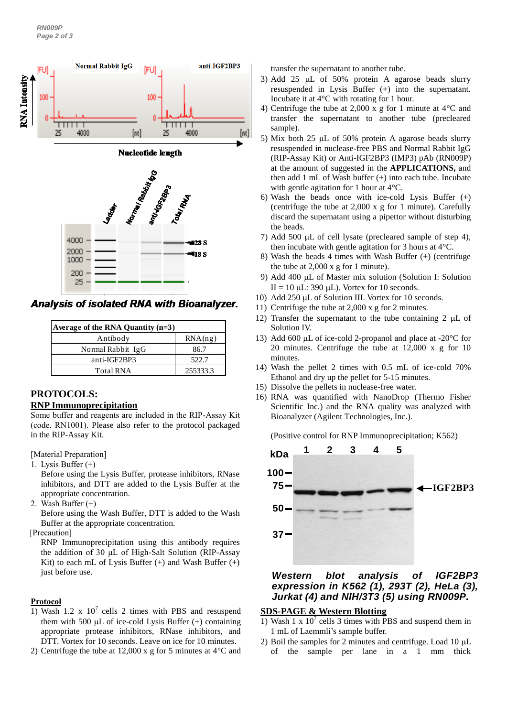

Analysis of isolated RNA with Bioanalyzer.

| Average of the RNA Quantity $(n=3)$ |          |  |  |  |
|-------------------------------------|----------|--|--|--|
| Antibody                            | RNA(ng)  |  |  |  |
| Normal Rabbit IgG                   | 86.7     |  |  |  |
| anti-IGF2BP3                        | 522.7    |  |  |  |
| <b>Total RNA</b>                    | 255333.3 |  |  |  |

# **PROTOCOLS:**

#### **RNP Immunoprecipitation**

Some buffer and reagents are included in the RIP-Assay Kit (code. RN1001). Please also refer to the protocol packaged in the RIP-Assay Kit.

[Material Preparation]

1. Lysis Buffer (+)

Before using the Lysis Buffer, protease inhibitors, RNase inhibitors, and DTT are added to the Lysis Buffer at the appropriate concentration.

2. Wash Buffer (+)

Before using the Wash Buffer, DTT is added to the Wash Buffer at the appropriate concentration.

[Precaution]

RNP Immunoprecipitation using this antibody requires the addition of 30 μL of High-Salt Solution (RIP-Assay Kit) to each mL of Lysis Buffer  $(+)$  and Wash Buffer  $(+)$ just before use.

#### **Protocol**

- 1) Wash 1.2 x  $10^7$  cells 2 times with PBS and resuspend them with 500  $\mu$ L of ice-cold Lysis Buffer  $(+)$  containing appropriate protease inhibitors, RNase inhibitors, and DTT. Vortex for 10 seconds. Leave on ice for 10 minutes.
- 2) Centrifuge the tube at 12,000 x g for 5 minutes at 4°C and

transfer the supernatant to another tube.

- 3) Add 25  $\mu$ L of 50% protein A agarose beads slurry resuspended in Lysis Buffer (+) into the supernatant. Incubate it at 4°C with rotating for 1 hour.
- 4) Centrifuge the tube at 2,000 x g for 1 minute at 4°C and transfer the supernatant to another tube (precleared sample).
- 5) Mix both  $25 \mu L$  of 50% protein A agarose beads slurry resuspended in nuclease-free PBS and Normal Rabbit IgG (RIP-Assay Kit) or Anti-IGF2BP3 (IMP3) pAb (RN009P) at the amount of suggested in the **APPLICATIONS,** and then add 1 mL of Wash buffer (+) into each tube. Incubate with gentle agitation for 1 hour at 4°C.
- 6) Wash the beads once with ice-cold Lysis Buffer (+) (centrifuge the tube at 2,000 x g for 1 minute). Carefully discard the supernatant using a pipettor without disturbing the beads.
- 7) Add 500  $\mu$ L of cell lysate (precleared sample of step 4), then incubate with gentle agitation for 3 hours at 4°C.
- 8) Wash the beads 4 times with Wash Buffer (+) (centrifuge the tube at 2,000 x g for 1 minute).
- 9) Add 400 µL of Master mix solution (Solution I: Solution  $II = 10$  uL: 390 uL). Vortex for 10 seconds.
- 10) Add 250 µL of Solution III. Vortex for 10 seconds.
- 11) Centrifuge the tube at 2,000 x g for 2 minutes.
- 12) Transfer the supernatant to the tube containing 2  $\mu$ L of Solution IV.
- 13) Add 600  $\mu$ L of ice-cold 2-propanol and place at -20 $\degree$ C for 20 minutes. Centrifuge the tube at 12,000 x g for 10 minutes.
- 14) Wash the pellet 2 times with 0.5 mL of ice-cold 70% Ethanol and dry up the pellet for 5-15 minutes.
- 15) Dissolve the pellets in nuclease-free water.
- 16) RNA was quantified with NanoDrop (Thermo Fisher Scientific Inc.) and the RNA quality was analyzed with Bioanalyzer (Agilent Technologies, Inc.).

(Positive control for RNP Immunoprecipitation; K562)



# *Western blot analysis of IGF2BP3 expression in K562 (1), 293T (2), HeLa (3), Jurkat (4) and NIH/3T3 (5) using RN009P.*

### **SDS-PAGE & Western Blotting**

- 1) Wash 1 x  $10^7$  cells 3 times with PBS and suspend them in 1 mL of Laemmli's sample buffer.
- 2) Boil the samples for 2 minutes and centrifuge. Load  $10 \mu L$ of the sample per lane in a 1 mm thick